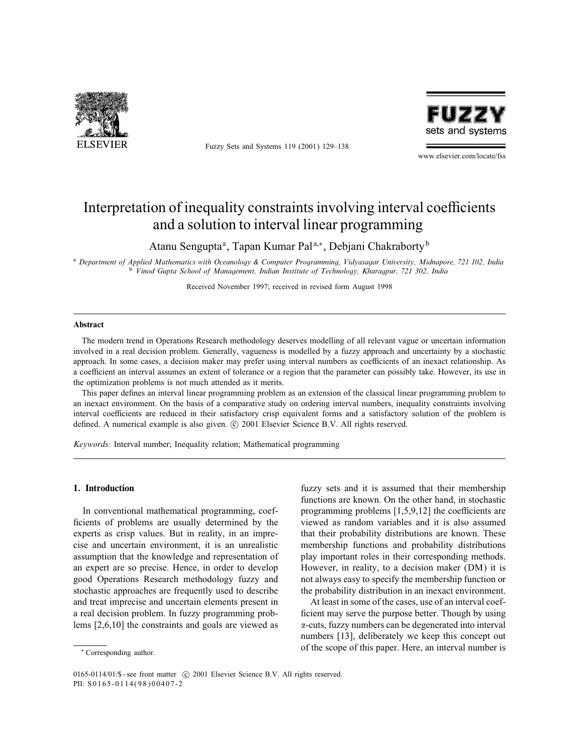

Fuzzy Sets and Systems 119 (2001) 129–138



www.elsevier.com/locate/fss

# Interpretation of inequality constraints involving interval coefficients and a solution to interval linear programming

Atanu Sengupta<sup>a</sup>, Tapan Kumar Pal<sup>a,\*</sup>, Debjani Chakraborty<sup>b</sup>

<sup>a</sup> Department of Applied Mathematics with Oceanology & Computer Programming, Vidyasagar University, Midnapore, 721 102, India <sup>b</sup> Vinod Gupta School of Management, Indian Institute of Technology, Kharagpur, 721 302, India

Received November 1997; received in revised form August 1998

#### Abstract

The modern trend in Operations Research methodology deserves modelling of all relevant vague or uncertain information involved in a real decision problem. Generally, vagueness is modelled by a fuzzy approach and uncertainty by a stochastic approach. In some cases, a decision maker may prefer using interval numbers as coefficients of an inexact relationship. As a coefficient an interval assumes an extent of tolerance or a region that the parameter can possibly take. However, its use in the optimization problems is not much attended as it merits.

This paper defines an interval linear programming problem as an extension of the classical linear programming problem to an inexact environment. On the basis of a comparative study on ordering interval numbers, inequality constraints involving interval coefficients are reduced in their satisfactory crisp equivalent forms and a satisfactory solution of the problem is defined. A numerical example is also given.  $\odot$  2001 Elsevier Science B.V. All rights reserved.

Keywords: Interval number; Inequality relation; Mathematical programming

#### 1. Introduction

In conventional mathematical programming, coef ficients of problems are usually determined by the experts as crisp values. But in reality, in an imprecise and uncertain environment, it is an unrealistic assumption that the knowledge and representation of an expert are so precise. Hence, in order to develop good Operations Research methodology fuzzy and stochastic approaches are frequently used to describe and treat imprecise and uncertain elements present in a real decision problem. In fuzzy programming problems [2,6,10] the constraints and goals are viewed as

fuzzy sets and it is assumed that their membership functions are known. On the other hand, in stochastic programming problems  $[1,5,9,12]$  the coefficients are viewed as random variables and it is also assumed that their probability distributions are known. These membership functions and probability distributions play important roles in their corresponding methods. However, in reality, to a decision maker (DM) it is not always easy to specify the membership function or the probability distribution in an inexact environment.

At least in some of the cases, use of an interval coef ficient may serve the purpose better. Though by using  $\alpha$ -cuts, fuzzy numbers can be degenerated into interval numbers [13], deliberately we keep this concept out of the scope of this paper. Here, an interval number is

<sup>∗</sup> Corresponding author.

<sup>0165-0114/01/\$ -</sup> see front matter (c) 2001 Elsevier Science B.V. All rights reserved. PII: S 0165-0114(98)00407-2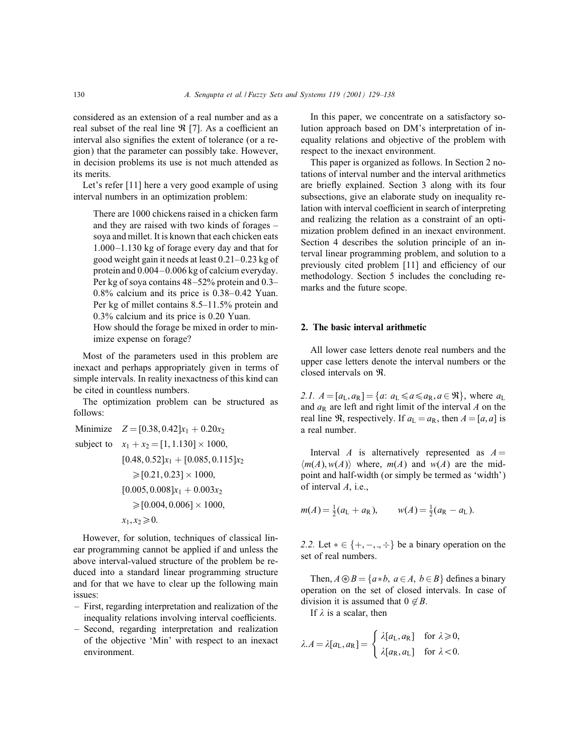considered as an extension of a real number and as a real subset of the real line  $\Re$  [7]. As a coefficient an interval also signifies the extent of tolerance (or a region) that the parameter can possibly take. However, in decision problems its use is not much attended as its merits.

Let's refer [11] here a very good example of using interval numbers in an optimization problem:

There are 1000 chickens raised in a chicken farm and they are raised with two kinds of forages – soya and millet. It is known that each chicken eats 1.000 –1.130 kg of forage every day and that for good weight gain it needs at least  $0.21-0.23$  kg of protein and 0.004 – 0.006 kg of calcium everyday. Per kg of soya contains 48 –52% protein and 0.3–  $0.8\%$  calcium and its price is  $0.38-0.42$  Yuan. Per kg of millet contains 8.5–11.5% protein and 0.3% calcium and its price is 0.20 Yuan.

How should the forage be mixed in order to minimize expense on forage?

Most of the parameters used in this problem are inexact and perhaps appropriately given in terms of simple intervals. In reality inexactness of this kind can be cited in countless numbers.

The optimization problem can be structured as follows:

Minimize  $Z = [0.38, 0.42]x_1 + 0.20x_2$ subject to  $x_1 + x_2 = [1, 1.130] \times 1000$ ,  $[0.48, 0.52]x_1 + [0.085, 0.115]x_2$  $\geqslant$  [0.21, 0.23]  $\times$  1000,  $[0.005, 0.008]x_1 + 0.003x_2$  $\geq$ [0.004, 0.006]  $\times$  1000,  $x_1, x_2 \ge 0.$ 

However, for solution, techniques of classical linear programming cannot be applied if and unless the above interval-valued structure of the problem be reduced into a standard linear programming structure and for that we have to clear up the following main issues:

- First, regarding interpretation and realization of the inequality relations involving interval coefficients.
- Second, regarding interpretation and realization of the objective 'Min' with respect to an inexact environment.

In this paper, we concentrate on a satisfactory solution approach based on DM's interpretation of inequality relations and objective of the problem with respect to the inexact environment.

This paper is organized as follows. In Section 2 notations of interval number and the interval arithmetics are briefly explained. Section 3 along with its four subsections, give an elaborate study on inequality relation with interval coefficient in search of interpreting and realizing the relation as a constraint of an optimization problem defined in an inexact environment. Section 4 describes the solution principle of an interval linear programming problem, and solution to a previously cited problem [11] and efficiency of our methodology. Section 5 includes the concluding remarks and the future scope.

# 2. The basic interval arithmetic

All lower case letters denote real numbers and the upper case letters denote the interval numbers or the closed intervals on R.

2.1.  $A = [a_L, a_R] = \{a: a_L \le a \le a_R, a \in \mathbb{R}\}\)$ , where  $a_L$ and  $a_R$  are left and right limit of the interval A on the real line  $\Re$ , respectively. If  $a_L = a_R$ , then  $A = [a, a]$  is a real number.

Interval A is alternatively represented as  $A =$  $\langle m(A), w(A) \rangle$  where,  $m(A)$  and  $w(A)$  are the midpoint and half-width (or simply be termed as 'width') of interval A, i.e.,

$$
m(A) = \frac{1}{2}(a_L + a_R), \qquad w(A) = \frac{1}{2}(a_R - a_L).
$$

2.2. Let  $* \in \{+, -, ., \div\}$  be a binary operation on the set of real numbers.

Then,  $A \circledast B = \{a * b, a \in A, b \in B\}$  defines a binary operation on the set of closed intervals. In case of division it is assumed that  $0 \notin B$ .

If  $\lambda$  is a scalar, then

$$
\lambda A = \lambda [a_{\text{L}}, a_{\text{R}}] = \begin{cases} \lambda [a_{\text{L}}, a_{\text{R}}] & \text{for } \lambda \geqslant 0, \\ \lambda [a_{\text{R}}, a_{\text{L}}] & \text{for } \lambda < 0. \end{cases}
$$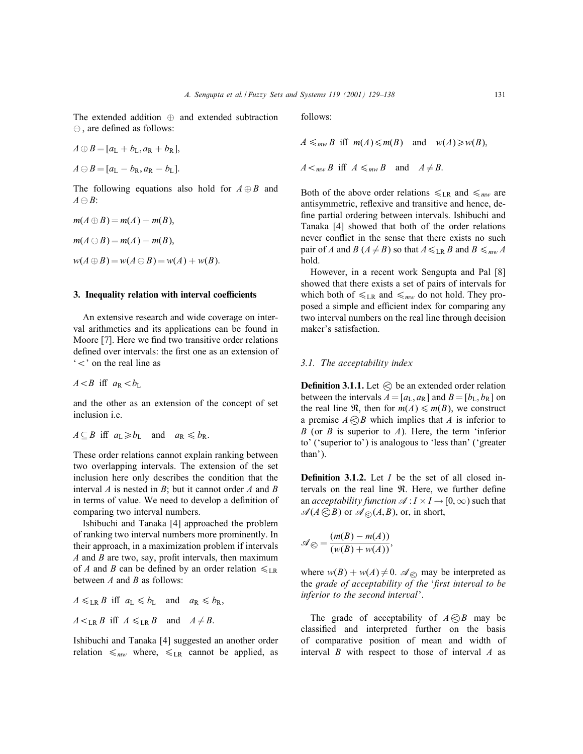The extended addition ⊕ and extended subtraction  $\ominus$ , are defined as follows:

$$
A \oplus B = [a_{L} + b_{L}, a_{R} + b_{R}],
$$

$$
A\ominus B=[a_{\mathrm{L}}-b_{\mathrm{R}},a_{\mathrm{R}}-b_{\mathrm{L}}].
$$

The following equations also hold for  $A \oplus B$  and  $A \ominus B$ :

$$
m(A \oplus B) = m(A) + m(B),
$$
  
\n
$$
m(A \ominus B) = m(A) - m(B),
$$
  
\n
$$
w(A \oplus B) = w(A \ominus B) = w(A) + w(B).
$$

## 3. Inequality relation with interval coefficients

An extensive research and wide coverage on interval arithmetics and its applications can be found in Moore [7]. Here we find two transitive order relations defined over intervals: the first one as an extension of  $\leq$  on the real line as

 $A < B$  iff  $a_R < b_L$ 

and the other as an extension of the concept of set inclusion i.e.

 $A \subseteq B$  iff  $a_L \ge b_L$  and  $a_R \le b_R$ .

These order relations cannot explain ranking between two overlapping intervals. The extension of the set inclusion here only describes the condition that the interval  $A$  is nested in  $B$ ; but it cannot order  $A$  and  $B$ in terms of value. We need to develop a definition of comparing two interval numbers.

Ishibuchi and Tanaka [4] approached the problem of ranking two interval numbers more prominently. In their approach, in a maximization problem if intervals  $A$  and  $B$  are two, say, profit intervals, then maximum of A and B can be defined by an order relation  $\leq$ <sub>LR</sub> between  $A$  and  $B$  as follows:

$$
A \leq_{LR} B \text{ iff } a_L \leq b_L \text{ and } a_R \leq b_R,
$$
  

$$
A \leq_{LR} B \text{ iff } A \leq_{LR} B \text{ and } A \neq B.
$$

Ishibuchi and Tanaka [4] suggested an another order relation  $\leq_{mw}$  where,  $\leq_{LR}$  cannot be applied, as follows:

 $A \leq_{mw} B$  iff  $m(A) \leq m(B)$  and  $w(A) \geq w(B)$ ,  $A \leq_{mw} B$  iff  $A \leq_{mw} B$  and  $A \neq B$ .

Both of the above order relations  $\leqslant_{LR}$  and  $\leqslant_{mw}$  are antisymmetric, reflexive and transitive and hence, define partial ordering between intervals. Ishibuchi and Tanaka [4] showed that both of the order relations never conflict in the sense that there exists no such pair of A and B ( $A \neq B$ ) so that  $A \leq_{LR} B$  and  $B \leq_{mw} A$ hold.

However, in a recent work Sengupta and Pal [8] showed that there exists a set of pairs of intervals for which both of  $\leq_{LR}$  and  $\leq_{mw}$  do not hold. They proposed a simple and efficient index for comparing any two interval numbers on the real line through decision maker's satisfaction.

## 3.1. The acceptability index

**Definition 3.1.1.** Let  $\bigotimes$  be an extended order relation between the intervals  $A = [a_L, a_R]$  and  $B = [b_L, b_R]$  on the real line  $\Re$ , then for  $m(A) \le m(B)$ , we construct a premise  $A \bigotimes B$  which implies that A is inferior to B (or B is superior to A). Here, the term 'inferior to' ('superior to') is analogous to 'less than' ('greater than').

**Definition 3.1.2.** Let  $I$  be the set of all closed intervals on the real line  $\Re$ . Here, we further define an *acceptability function*  $\mathscr{A}: I \times I \to [0, \infty)$  such that  $\mathscr{A}(A\bigotimes B)$  or  $\mathscr{A}_{\bigotimes}(A,B)$ , or, in short,

$$
\mathscr{A}_{\bigotimes} = \frac{(m(B) - m(A))}{(w(B) + w(A))},
$$

where  $w(B) + w(A) \neq 0$ .  $\mathcal{A}_{\odot}$  may be interpreted as the grade of acceptability of the 'first interval to be inferior to the second interval'.

The grade of acceptability of  $A \otimes B$  may be classied and interpreted further on the basis of comparative position of mean and width of interval  $B$  with respect to those of interval  $A$  as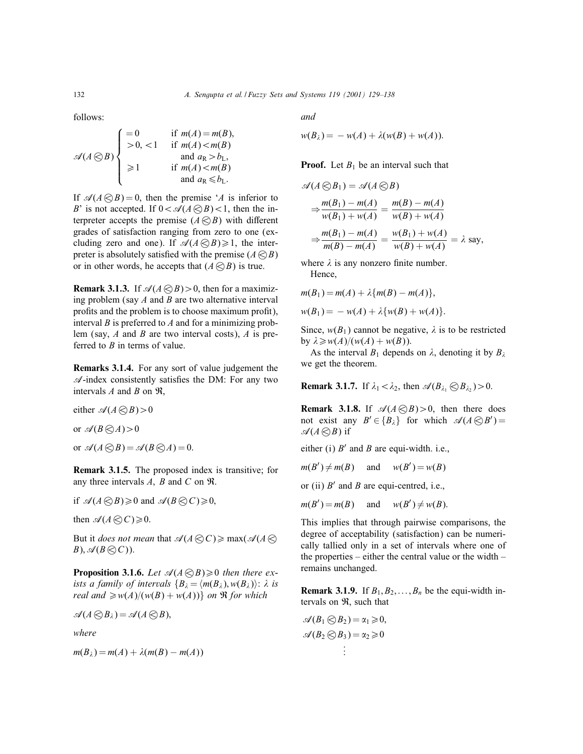follows:

$$
\mathcal{A}(A \bigotimes B) \begin{cases}\n=0 & \text{if } m(A) = m(B), \\
>0, < 1 \quad \text{if } m(A) < m(B) \\
\text{and } a_R > b_L, \\
\geq 1 & \text{if } m(A) < m(B) \\
\text{and } a_R < b_L.\n\end{cases}
$$

If  $\mathcal{A}(A \otimes B) = 0$ , then the premise 'A is inferior to B' is not accepted. If  $0 < \mathcal{A}(A \otimes B) < 1$ , then the interpreter accepts the premise  $(A \otimes B)$  with different grades of satisfaction ranging from zero to one (excluding zero and one). If  $\mathscr{A}(A\bigotimes B)\geq 1$ , the interpreter is absolutely satisfied with the premise  $(A \otimes B)$ or in other words, he accepts that  $(A \otimes B)$  is true.

**Remark 3.1.3.** If  $\mathcal{A}(A \otimes B) > 0$ , then for a maximizing problem (say  $A$  and  $B$  are two alternative interval profits and the problem is to choose maximum profit), interval  $B$  is preferred to  $A$  and for a minimizing problem (say,  $A$  and  $B$  are two interval costs),  $A$  is preferred to  $B$  in terms of value.

Remarks 3.1.4. For any sort of value judgement the  $\mathcal{A}$ -index consistently satisfies the DM: For any two intervals  $A$  and  $B$  on  $\Re$ ,

either  $\mathcal{A}(A \otimes B) > 0$ or  $\mathcal{A}(B \bigotimes A) > 0$ 

or  $\mathcal{A}(A \bigotimes B) = \mathcal{A}(B \bigotimes A) = 0.$ 

Remark 3.1.5. The proposed index is transitive; for any three intervals  $A$ ,  $B$  and  $C$  on  $\Re$ .

if  $\mathscr{A}(A \otimes B) \geq 0$  and  $\mathscr{A}(B \otimes C) \geq 0$ ,

then  $\mathscr{A}(A \bigotimes C) \geq 0$ .

But it *does not mean* that  $\mathcal{A}(A \otimes C) \ge \max(\mathcal{A}(A \otimes C))$  $B$ ),  $\mathscr{A}(B \bigotimes C)$ ).

**Proposition 3.1.6.** Let  $\mathcal{A}(A \otimes B) \ge 0$  then there exists a family of intervals  ${B_\lambda = \langle m(B_\lambda), w(B_\lambda) \rangle : \lambda \text{ is}}$ real and  $\geq w(A)/(w(B) + w(A))$  on R for which

$$
\mathscr{A}(A\bigotimes B_\lambda)=\mathscr{A}(A\bigotimes B),
$$

where

$$
m(B_\lambda)=m(A)+\lambda(m(B)-m(A))
$$

and

$$
w(B_{\lambda}) = -w(A) + \lambda(w(B) + w(A)).
$$

**Proof.** Let  $B_1$  be an interval such that

$$
\mathcal{A}(A \otimes B_1) = \mathcal{A}(A \otimes B)
$$
  
\n
$$
\Rightarrow \frac{m(B_1) - m(A)}{w(B_1) + w(A)} = \frac{m(B) - m(A)}{w(B) + w(A)}
$$
  
\n
$$
\Rightarrow \frac{m(B_1) - m(A)}{m(B) - m(A)} = \frac{w(B_1) + w(A)}{w(B) + w(A)} = \lambda \text{ say,}
$$

where  $\lambda$  is any nonzero finite number. Hence,

$$
m(B_1) = m(A) + \lambda \{m(B) - m(A)\},
$$
  

$$
w(B_1) = -w(A) + \lambda \{w(B) + w(A)\}.
$$

Since,  $w(B_1)$  cannot be negative,  $\lambda$  is to be restricted by  $\lambda \geq w(A)/(w(A) + w(B)).$ 

As the interval  $B_1$  depends on  $\lambda$ , denoting it by  $B_2$ we get the theorem.

**Remark 3.1.7.** If  $\lambda_1 < \lambda_2$ , then  $\mathcal{A}(B_{\lambda_1} \otimes B_{\lambda_2}) > 0$ .

**Remark 3.1.8.** If  $\mathcal{A}(A \otimes B) > 0$ , then there does not exist any  $B' \in \{B_\lambda\}$  for which  $\mathscr{A}(A \otimes B') =$  $\mathscr{A}(A\bigotimes B)$  if

either (i)  $B'$  and B are equi-width. i.e.,

 $m(B') \neq m(B)$  and  $w(B') = w(B)$ 

or (ii)  $B'$  and B are equi-centred, i.e.,

 $m(B') = m(B)$  $)=m(B)$  and  $w(B') \neq w(B)$ .

This implies that through pairwise comparisons, the degree of acceptability (satisfaction) can be numerically tallied only in a set of intervals where one of the properties – either the central value or the width – remains unchanged.

**Remark 3.1.9.** If  $B_1, B_2, \ldots, B_n$  be the equi-width intervals on R, such that

$$
\mathscr{A}(B_1 \otimes B_2) = \alpha_1 \geq 0,\n\mathscr{A}(B_2 \otimes B_3) = \alpha_2 \geq 0\n\vdots
$$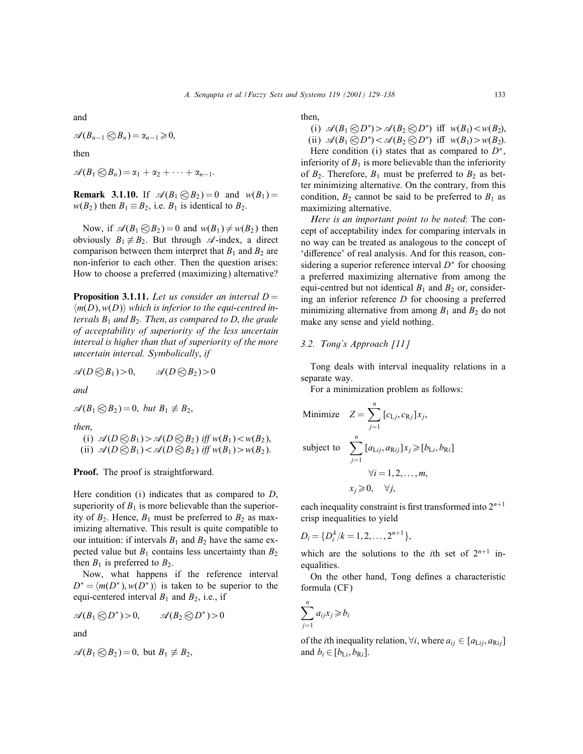and

$$
\mathscr{A}(B_{n-1}\bigotimes B_n)=\alpha_{n-1}\geqslant 0,
$$

then

 $\mathscr{A}(B_1 \bigotimes B_n) = \alpha_1 + \alpha_2 + \cdots + \alpha_{n-1}.$ 

**Remark 3.1.10.** If  $\mathcal{A}(B_1 \otimes B_2) = 0$  and  $w(B_1) = 0$  $w(B_2)$  then  $B_1 \equiv B_2$ , i.e.  $B_1$  is identical to  $B_2$ .

Now, if  $\mathcal{A}(B_1 \otimes B_2) = 0$  and  $w(B_1) \neq w(B_2)$  then obviously  $B_1 \not\equiv B_2$ . But through  $\mathscr A$ -index, a direct comparison between them interpret that  $B_1$  and  $B_2$  are non-inferior to each other. Then the question arises: How to choose a preferred (maximizing) alternative?

**Proposition 3.1.11.** Let us consider an interval  $D =$  $\langle m(D), w(D) \rangle$  which is inferior to the equi-centred intervals  $B_1$  and  $B_2$ . Then, as compared to D, the grade of acceptability of superiority of the less uncertain interval is higher than that of superiority of the more uncertain interval. Symbolically; if

$$
\mathscr{A}(D\bigotimes B_1) > 0, \qquad \mathscr{A}(D\bigotimes B_2) > 0
$$

and

$$
\mathscr{A}(B_1 \otimes B_2) = 0, \; but \; B_1 \not\equiv B_2,
$$

then.

(i)  $\mathcal{A}(D \otimes B_1) > \mathcal{A}(D \otimes B_2)$  iff  $w(B_1) < w(B_2)$ , (ii)  $\mathcal{A}(D \otimes B_1) < \mathcal{A}(D \otimes B_2)$  iff  $w(B_1) > w(B_2)$ .

Proof. The proof is straightforward.

Here condition  $(i)$  indicates that as compared to  $D$ , superiority of  $B_1$  is more believable than the superiority of  $B_2$ . Hence,  $B_1$  must be preferred to  $B_2$  as maximizing alternative. This result is quite compatible to our intuition: if intervals  $B_1$  and  $B_2$  have the same expected value but  $B_1$  contains less uncertainty than  $B_2$ then  $B_1$  is preferred to  $B_2$ .

Now, what happens if the reference interval  $D^* = \langle m(D^*), w(D^*) \rangle$  is taken to be superior to the equi-centered interval  $B_1$  and  $B_2$ , i.e., if

$$
\mathscr{A}(B_1\bigotimes D^*)>0, \qquad \mathscr{A}(B_2\bigotimes D^*)>0
$$

and

$$
\mathscr{A}(B_1 \otimes B_2) = 0, \text{ but } B_1 \not\equiv B_2,
$$

then,

(i)  $\mathscr{A}(B_1 \otimes D^*) > \mathscr{A}(B_2 \otimes D^*)$  iff  $w(B_1) < w(B_2)$ ,

(ii)  $\mathcal{A}(B_1 \otimes D^*) < \mathcal{A}(B_2 \otimes D^*)$  iff  $w(B_1) > w(B_2)$ . Here condition (i) states that as compared to  $D^*$ ,

inferiority of  $B_1$  is more believable than the inferiority of  $B_2$ . Therefore,  $B_1$  must be preferred to  $B_2$  as better minimizing alternative. On the contrary, from this condition,  $B_2$  cannot be said to be preferred to  $B_1$  as maximizing alternative.

Here is an important point to be noted: The concept of acceptability index for comparing intervals in no way can be treated as analogous to the concept of 'difference' of real analysis. And for this reason, considering a superior reference interval  $D^*$  for choosing a preferred maximizing alternative from among the equi-centred but not identical  $B_1$  and  $B_2$  or, considering an inferior reference D for choosing a preferred minimizing alternative from among  $B_1$  and  $B_2$  do not make any sense and yield nothing.

# 3.2. Tong's Approach [11]

Tong deals with interval inequality relations in a separate way.

For a minimization problem as follows:

Minimize 
$$
Z = \sum_{j=1}^{n} [c_{Lj}, c_{Rj}]x_j
$$
,  
\nsubject to 
$$
\sum_{j=1}^{n} [a_{Lij}, a_{Rij}]x_j \geq [b_{Li}, b_{Ri}]
$$
\n
$$
\forall i = 1, 2, ..., m,
$$
\n
$$
x_j \geq 0, \quad \forall j,
$$

each inequality constraint is first transformed into  $2^{n+1}$ crisp inequalities to yield

$$
D_i = \{D_i^k/k = 1, 2, \ldots, 2^{n+1}\},\
$$

which are the solutions to the *i*th set of  $2^{n+1}$  inequalities.

On the other hand, Tong defines a characteristic formula (CF)

$$
\sum_{j=1}^n a_{ij}x_j \geq b_i
$$

of the *i*th inequality relation,  $\forall i$ , where  $a_{ij} \in [a_{Lij}, a_{Rij}]$ and  $b_i \in [b_{\text{L}i}, b_{\text{R}i}]$ .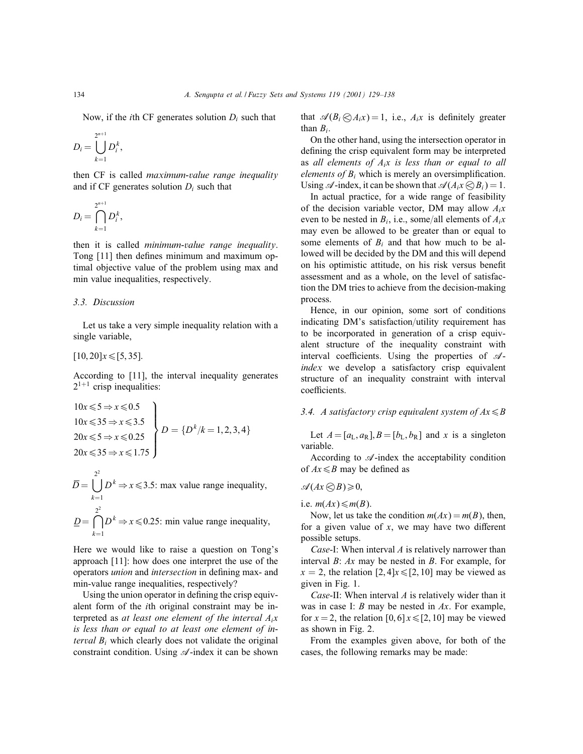Now, if the *i*th CF generates solution  $D_i$  such that

$$
D_i = \bigcup_{k=1}^{2^{n+1}} D_i^k,
$$

then CF is called maximum-value range inequality and if CF generates solution  $D_i$  such that

$$
D_i = \bigcap_{k=1}^{2^{n+1}} D_i^k,
$$

then it is called minimum-value range inequality. Tong [11] then defines minimum and maximum optimal objective value of the problem using max and min value inequalities, respectively.

#### 3.3. Discussion

Let us take a very simple inequality relation with a single variable,

 $[10, 20]x \leq 5, 35]$ .

According to [11], the interval inequality generates  $2^{1+1}$  crisp inequalities:

$$
\begin{aligned}\n10x \leq 5 &\Rightarrow x \leq 0.5 \\
10x \leq 35 &\Rightarrow x \leq 3.5 \\
20x \leq 5 &\Rightarrow x \leq 0.25 \\
20x \leq 35 &\Rightarrow x \leq 1.75\n\end{aligned}
$$
\n
$$
D = \{D^k / k = 1, 2, 3, 4\}
$$

$$
\overline{D} = \bigcup_{k=1}^{2^2} D^k \Rightarrow x \le 3.5
$$
: max value range inequality,  

$$
\underline{D} = \bigcap_{k=1}^{2^2} D^k \Rightarrow x \le 0.25
$$
: min value range inequality,

Here we would like to raise a question on Tong's approach [11]: how does one interpret the use of the operators *union* and *intersection* in defining max- and min-value range inequalities, respectively?

Using the union operator in defining the crisp equivalent form of the ith original constraint may be interpreted as at least one element of the interval  $A_i x$ is less than or equal to at least one element of interval  $B_i$  which clearly does not validate the original constraint condition. Using  $\mathscr A$ -index it can be shown that  $\mathscr{A}(B_i \bigotimes A_i x) = 1$ , i.e.,  $A_i x$  is definitely greater than  $B_i$ .

On the other hand, using the intersection operator in defining the crisp equivalent form may be interpreted as all elements of  $A_i x$  is less than or equal to all *elements of*  $B_i$  which is merely an oversimplification. Using  $\mathscr A$ -index, it can be shown that  $\mathscr A(A_i x \otimes B_i) = 1$ .

In actual practice, for a wide range of feasibility of the decision variable vector, DM may allow  $A_i x$ even to be nested in  $B_i$ , i.e., some/all elements of  $A_i x$ may even be allowed to be greater than or equal to some elements of  $B_i$  and that how much to be allowed will be decided by the DM and this will depend on his optimistic attitude, on his risk versus benefit assessment and as a whole, on the level of satisfaction the DM tries to achieve from the decision-making process.

Hence, in our opinion, some sort of conditions indicating DM's satisfaction/utility requirement has to be incorporated in generation of a crisp equivalent structure of the inequality constraint with interval coefficients. Using the properties of  $\mathcal{A}$ index we develop a satisfactory crisp equivalent structure of an inequality constraint with interval coefficients.

# 3.4. A satisfactory crisp equivalent system of  $Ax \leq B$

Let  $A = [a_L, a_R]$ ,  $B = [b_L, b_R]$  and x is a singleton variable.

According to  $\mathscr A$ -index the acceptability condition of  $Ax \leq B$  may be defined as

$$
\mathscr{A}(Ax\,\bigcirc\!\!\bigcirc\!\!\bigcirc\!\!\bigcirc\!\!\bigcirc\!\!\bigcirc\!0,
$$

i.e.  $m(Ax) \leq m(B)$ .

Now, let us take the condition  $m(Ax) = m(B)$ , then, for a given value of  $x$ , we may have two different possible setups.

Case-I: When interval  $\Lambda$  is relatively narrower than interval B: Ax may be nested in B. For example, for  $x = 2$ , the relation [2,4] $x \leq 2$ , 10] may be viewed as given in Fig. 1.

Case-II: When interval A is relatively wider than it was in case I:  $B$  may be nested in  $Ax$ . For example, for  $x = 2$ , the relation [0, 6]  $x \leq 2$ , 10] may be viewed as shown in Fig. 2.

From the examples given above, for both of the cases, the following remarks may be made: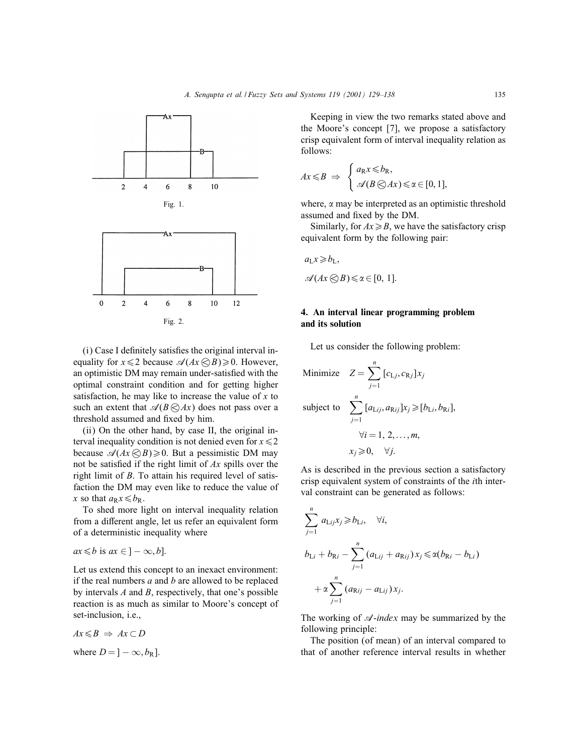

Fig. 2.

(i) Case I definitely satisfies the original interval inequality for  $x \leq 2$  because  $\mathcal{A}(Ax \otimes B) \geq 0$ . However, an optimistic DM may remain under-satisfied with the optimal constraint condition and for getting higher satisfaction, he may like to increase the value of  $x$  to such an extent that  $\mathcal{A}(B \bigotimes Ax)$  does not pass over a threshold assumed and fixed by him.

(ii) On the other hand, by case II, the original interval inequality condition is not denied even for  $x \le 2$ because  $\mathcal{A}(Ax \otimes B) \ge 0$ . But a pessimistic DM may not be satisfied if the right limit of  $Ax$  spills over the right limit of B. To attain his required level of satisfaction the DM may even like to reduce the value of x so that  $a_Rx \leq b_R$ .

To shed more light on interval inequality relation from a different angle, let us refer an equivalent form of a deterministic inequality where

$$
ax \leq b
$$
 is  $ax \in ]-\infty, b].$ 

Let us extend this concept to an inexact environment: if the real numbers  $a$  and  $b$  are allowed to be replaced by intervals  $A$  and  $B$ , respectively, that one's possible reaction is as much as similar to Moore's concept of set-inclusion, i.e.,

$$
Ax \leq B \implies Ax \subset D
$$
  
where  $D = ] - \infty, b_R].$ 

Keeping in view the two remarks stated above and the Moore's concept [7], we propose a satisfactory crisp equivalent form of interval inequality relation as follows:

$$
Ax \leq B \Rightarrow \begin{cases} a_{R}x \leq b_{R}, \\ \mathscr{A}(B \otimes Ax) \leq \alpha \in [0,1], \end{cases}
$$

where,  $\alpha$  may be interpreted as an optimistic threshold assumed and fixed by the DM.

Similarly, for  $Ax \ge B$ , we have the satisfactory crisp equivalent form by the following pair:

$$
a_L x \ge b_L,
$$
  

$$
\mathscr{A}(Ax \bigotimes B) \le \alpha \in [0, 1].
$$

# 4. An interval linear programming problem and its solution

Let us consider the following problem:

Minimize 
$$
Z = \sum_{j=1}^{n} [c_{Lj}, c_{Rj}]x_j
$$
  
\nsubject to 
$$
\sum_{j=1}^{n} [a_{Lij}, a_{Rij}]x_j \geq [b_{Li}, b_{Ri}],
$$

$$
\forall i = 1, 2, ..., m,
$$

$$
x_j \geq 0, \quad \forall j.
$$

As is described in the previous section a satisfactory crisp equivalent system of constraints of the ith interval constraint can be generated as follows:

$$
\sum_{j=1}^{n} a_{\text{L}ij} x_j \ge b_{\text{L}i}, \quad \forall i,
$$
\n
$$
b_{\text{L}i} + b_{\text{R}i} - \sum_{j=1}^{n} (a_{\text{L}ij} + a_{\text{R}ij}) x_j \le \alpha (b_{\text{R}i} - b_{\text{L}i})
$$
\n
$$
+ \alpha \sum_{j=1}^{n} (a_{\text{R}ij} - a_{\text{L}ij}) x_j.
$$

The working of  $\mathcal{A}$ -index may be summarized by the following principle:

The position (of mean) of an interval compared to that of another reference interval results in whether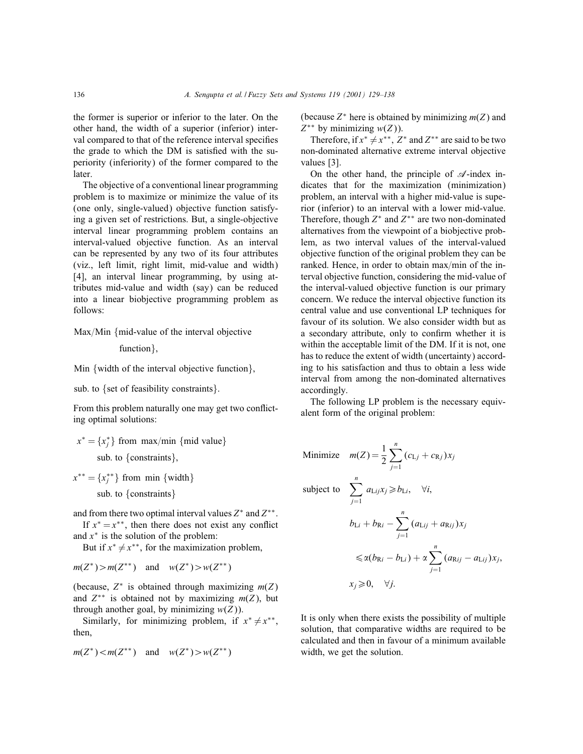the former is superior or inferior to the later. On the other hand, the width of a superior (inferior) interval compared to that of the reference interval specifies the grade to which the DM is satisfied with the superiority (inferiority) of the former compared to the later.

The objective of a conventional linear programming problem is to maximize or minimize the value of its (one only, single-valued) objective function satisfying a given set of restrictions. But, a single-objective interval linear programming problem contains an interval-valued objective function. As an interval can be represented by any two of its four attributes (viz., left limit, right limit, mid-value and width) [4], an interval linear programming, by using attributes mid-value and width (say) can be reduced into a linear biobjective programming problem as follows:

 $Max/M$ in {mid-value of the interval objective

function }.

Min {width of the interval objective function},

sub. to {set of feasibility constraints}.

From this problem naturally one may get two con
icting optimal solutions:

$$
x^* = \{x_j^*\}
$$
 from max/min {mid value}  
sub. to {constraints},

 $x^{**} = \{x^{**}_j\}$  from min {width} sub: to {constraints}

and from there two optimal interval values  $Z^*$  and  $Z^{**}$ .

If  $x^* = x^{**}$ , then there does not exist any conflict and  $x^*$  is the solution of the problem:

But if  $x^* \neq x^{**}$ , for the maximization problem,

$$
m(Z^*) > m(Z^{**})
$$
 and  $w(Z^*) > w(Z^{**})$ 

(because,  $Z^*$  is obtained through maximizing  $m(Z)$ ) and  $Z^{**}$  is obtained not by maximizing  $m(Z)$ , but through another goal, by minimizing  $w(Z)$ ).

Similarly, for minimizing problem, if  $x^* \neq x^{**}$ , then,

$$
m(Z^*) < m(Z^{**})
$$
 and  $w(Z^*) > w(Z^{**})$ 

(because  $Z^*$  here is obtained by minimizing  $m(Z)$  and  $Z^{**}$  by minimizing  $w(Z)$ ).

Therefore, if  $x^* \neq x^{**}$ ,  $Z^*$  and  $Z^{**}$  are said to be two non-dominated alternative extreme interval objective values [3].

On the other hand, the principle of  $\mathscr A$ -index indicates that for the maximization (minimization) problem, an interval with a higher mid-value is superior (inferior) to an interval with a lower mid-value. Therefore, though  $Z^*$  and  $Z^{**}$  are two non-dominated alternatives from the viewpoint of a biobjective problem, as two interval values of the interval-valued objective function of the original problem they can be ranked. Hence, in order to obtain  $max/min$  of the interval objective function, considering the mid-value of the interval-valued objective function is our primary concern. We reduce the interval objective function its central value and use conventional LP techniques for favour of its solution. We also consider width but as a secondary attribute, only to confirm whether it is within the acceptable limit of the DM. If it is not, one has to reduce the extent of width (uncertainty) according to his satisfaction and thus to obtain a less wide interval from among the non-dominated alternatives accordingly.

The following LP problem is the necessary equivalent form of the original problem:

Minimize  $m(Z) = \frac{1}{2}$  $\sum_{n=1}^{\infty}$  $j=1$  $(c_{Lj} + c_{Rj})x_j$ subject to  $\sum_{n=1}^n$  $j=1$  $a_{\text{L}ij}x_j \geq b_{\text{L}i}, \quad \forall i,$  $b_{\text{L}i} + b_{\text{R}i} - \sum_{i=1}^{n}$  $j=1$  $(a_{\text{L}ij} + a_{\text{R}ij})x_j$  $\leq \alpha(b_{\text{R}i} - b_{\text{L}i}) + \alpha \sum^{n}$  $j=1$  $(a_{\text{R}ij} - a_{\text{L}ij})x_j,$  $x_i \geq 0$ ,  $\forall i$ .

It is only when there exists the possibility of multiple solution, that comparative widths are required to be calculated and then in favour of a minimum available width, we get the solution.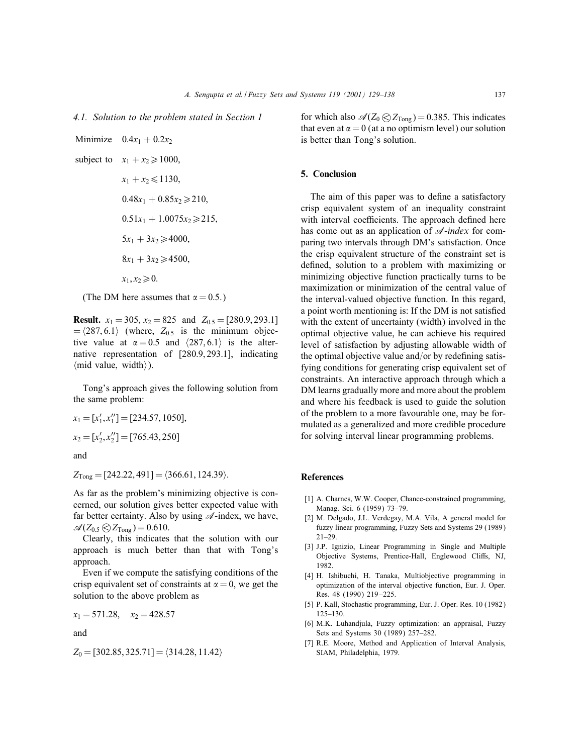#### 4.1. Solution to the problem stated in Section 1

Minimize  $0.4x_1 + 0.2x_2$ subject to  $x_1 + x_2 \ge 1000$ ,  $x_1 + x_2 \leq 1130$  $0.48x_1 + 0.85x_2 \ge 210$  $0.51x_1 + 1.0075x_2 \ge 215$  $5x_1 + 3x_2 \ge 4000$  $8x_1 + 3x_2 \ge 4500$ .  $x_1, x_2 \ge 0.$ 

(The DM here assumes that  $\alpha = 0.5$ .)

**Result.**  $x_1 = 305$ ,  $x_2 = 825$  and  $Z_{0.5} = [280.9, 293.1]$  $= \langle 287, 6.1 \rangle$  (where,  $Z_{0.5}$  is the minimum objective value at  $\alpha = 0.5$  and  $\langle 287, 6.1 \rangle$  is the alternative representation of [280:9; 293:1], indicating  $\langle$ mid value, width $\rangle$ ).

Tong's approach gives the following solution from the same problem:

$$
x_1 = [x'_1, x''_1] = [234.57, 1050],
$$
  

$$
x_2 = [x'_2, x''_2] = [765.43, 250]
$$

and

 $Z_{\text{Topg}} = [242.22, 491] = \langle 366.61, 124.39 \rangle.$ 

As far as the problem's minimizing objective is concerned, our solution gives better expected value with far better certainty. Also by using  $\mathscr A$ -index, we have,  $\mathcal{A}(Z_{0.5} \bigotimes Z_{\text{Tong}}) = 0.610.$ 

Clearly, this indicates that the solution with our approach is much better than that with Tong's approach.

Even if we compute the satisfying conditions of the crisp equivalent set of constraints at  $\alpha = 0$ , we get the solution to the above problem as

$$
x_1 = 571.28, \quad x_2 = 428.57
$$

and

 $Z_0 = [302.85, 325.71] = \langle 314.28, 11.42 \rangle$ 

for which also  $\mathcal{A}(Z_0 \otimes Z_{\text{ Tong}}) = 0.385$ . This indicates that even at  $\alpha = 0$  (at a no optimism level) our solution is better than Tong's solution.

## 5. Conclusion

The aim of this paper was to define a satisfactory crisp equivalent system of an inequality constraint with interval coefficients. The approach defined here has come out as an application of  $\mathscr A$ -index for comparing two intervals through DM's satisfaction. Once the crisp equivalent structure of the constraint set is defined, solution to a problem with maximizing or minimizing objective function practically turns to be maximization or minimization of the central value of the interval-valued objective function. In this regard, a point worth mentioning is: If the DM is not satisfied with the extent of uncertainty (width) involved in the optimal objective value, he can achieve his required level of satisfaction by adjusting allowable width of the optimal objective value and/or by redefining satisfying conditions for generating crisp equivalent set of constraints. An interactive approach through which a DM learns gradually more and more about the problem and where his feedback is used to guide the solution of the problem to a more favourable one, may be formulated as a generalized and more credible procedure for solving interval linear programming problems.

#### References

- [1] A. Charnes, W.W. Cooper, Chance-constrained programming, Manag. Sci. 6 (1959) 73–79.
- [2] M. Delgado, J.L. Verdegay, M.A. Vila, A general model for fuzzy linear programming, Fuzzy Sets and Systems 29 (1989) 21–29.
- [3] J.P. Ignizio, Linear Programming in Single and Multiple Objective Systems, Prentice-Hall, Englewood Cliffs, NJ, 1982.
- [4] H. Ishibuchi, H. Tanaka, Multiobjective programming in optimization of the interval objective function, Eur. J. Oper. Res. 48 (1990) 219 –225.
- [5] P. Kall, Stochastic programming, Eur. J. Oper. Res. 10 (1982) 125–130.
- [6] M.K. Luhandjula, Fuzzy optimization: an appraisal, Fuzzy Sets and Systems 30 (1989) 257–282.
- [7] R.E. Moore, Method and Application of Interval Analysis, SIAM, Philadelphia, 1979.